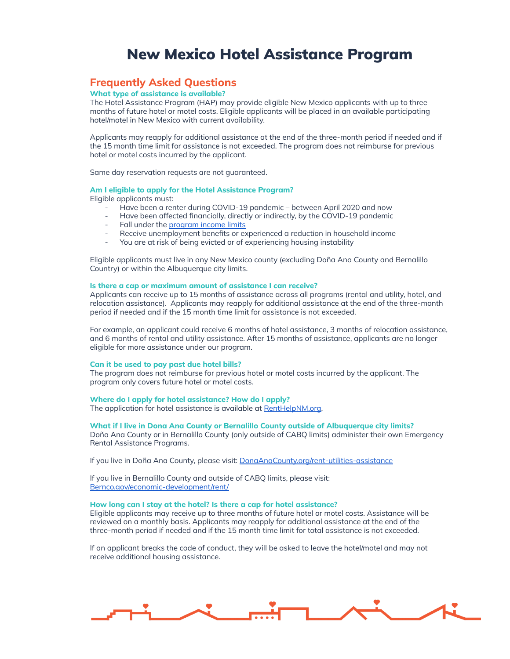# New Mexico Hotel Assistance Program

## **Frequently Asked Questions**

## **What type of assistance is available?**

The Hotel Assistance Program (HAP) may provide eligible New Mexico applicants with up to three months of future hotel or motel costs. Eligible applicants will be placed in an available participating hotel/motel in New Mexico with current availability.

Applicants may reapply for additional assistance at the end of the three-month period if needed and if the 15 month time limit for assistance is not exceeded. The program does not reimburse for previous hotel or motel costs incurred by the applicant.

Same day reservation requests are not guaranteed.

## **Am I eligible to apply for the Hotel Assistance Program?**

Eligible applicants must:

- Have been a renter during COVID-19 pandemic between April 2020 and now
- Have been affected financially, directly or indirectly, by the COVID-19 pandemic
- Fall under the [program](https://www.renthelpnm.org/wp-content/uploads/2021/05/Income_Limits.pdf) income limits
- Receive unemployment benefits or experienced a reduction in household income
- You are at risk of being evicted or of experiencing housing instability

Eligible applicants must live in any New Mexico county (excluding Doña Ana County and Bernalillo Country) or within the Albuquerque city limits.

## **Is there a cap or maximum amount of assistance I can receive?**

Applicants can receive up to 15 months of assistance across all programs (rental and utility, hotel, and relocation assistance). Applicants may reapply for additional assistance at the end of the three-month period if needed and if the 15 month time limit for assistance is not exceeded.

For example, an applicant could receive 6 months of hotel assistance, 3 months of relocation assistance, and 6 months of rental and utility assistance. After 15 months of assistance, applicants are no longer eligible for more assistance under our program.

## **Can it be used to pay past due hotel bills?**

The program does not reimburse for previous hotel or motel costs incurred by the applicant. The program only covers future hotel or motel costs.

#### **Where do I apply for hotel assistance? How do I apply?**

The application for hotel assistance is available at [RentHelpNM.org.](https://www.renthelpnm.org/)

#### **What if I live in Dona Ana County or Bernalillo County outside of Albuquerque city limits?**

Doña Ana County or in Bernalillo County (only outside of CABQ limits) administer their own Emergency Rental Assistance Programs.

If you live in Doña Ana County, please visit: [DonaAnaCounty.org/rent-utilities-assistance](https://www.donaanacounty.org/rent-utilities-assistance)

If you live in Bernalillo County and outside of CABQ limits, please visit: [Bernco.gov/economic-development/rent/](https://www.bernco.gov/economic-development/rent/)

## **How long can I stay at the hotel? Is there a cap for hotel assistance?**

Eligible applicants may receive up to three months of future hotel or motel costs. Assistance will be reviewed on a monthly basis. Applicants may reapply for additional assistance at the end of the three-month period if needed and if the 15 month time limit for total assistance is not exceeded.

If an applicant breaks the code of conduct, they will be asked to leave the hotel/motel and may not receive additional housing assistance.